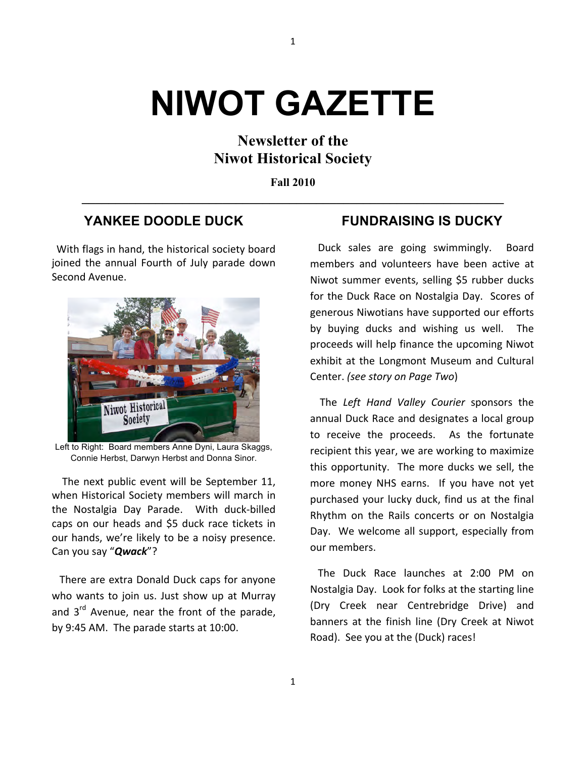# **NIWOT GAZETTE**

1

## **Newsletter of the Niwot Historical Society**

**Fall 2010 \_\_\_\_\_\_\_\_\_\_\_\_\_\_\_\_\_\_\_\_\_\_\_\_\_\_\_\_\_\_\_\_\_\_\_\_\_\_\_\_\_\_\_\_\_\_\_\_\_\_\_\_\_\_\_\_\_\_\_\_\_\_\_**

## **YANKEE DOODLE DUCK**

With flags in hand, the historical society board joined the annual Fourth of July parade down Second Avenue.



Left to Right: Board members Anne Dyni, Laura Skaggs, Connie Herbst, Darwyn Herbst and Donna Sinor.

The next public event will be September 11, when Historical Society members will march in the Nostalgia Day Parade. With duck-billed caps on our heads and \$5 duck race tickets in our hands, we're likely to be a noisy presence. Can you say "**Qwack**"?

There are extra Donald Duck caps for anyone who wants to join us. Just show up at Murray and  $3<sup>rd</sup>$  Avenue, near the front of the parade, by 9:45 AM. The parade starts at 10:00.

## **FUNDRAISING IS DUCKY**

Duck sales are going swimmingly. Board members and volunteers have been active at Niwot summer events, selling \$5 rubber ducks for the Duck Race on Nostalgia Day. Scores of generous Niwotians have supported our efforts by buying ducks and wishing us well. The proceeds will help finance the upcoming Niwot exhibit at the Longmont Museum and Cultural Center. *(see story on Page Two)* 

The Left Hand Valley Courier sponsors the annual Duck Race and designates a local group to receive the proceeds. As the fortunate recipient this year, we are working to maximize this opportunity. The more ducks we sell, the more money NHS earns. If you have not yet purchased your lucky duck, find us at the final Rhythm on the Rails concerts or on Nostalgia Day. We welcome all support, especially from our members.

The Duck Race launches at 2:00 PM on Nostalgia Day. Look for folks at the starting line (Dry Creek near Centrebridge Drive) and banners at the finish line (Dry Creek at Niwot Road). See you at the (Duck) races!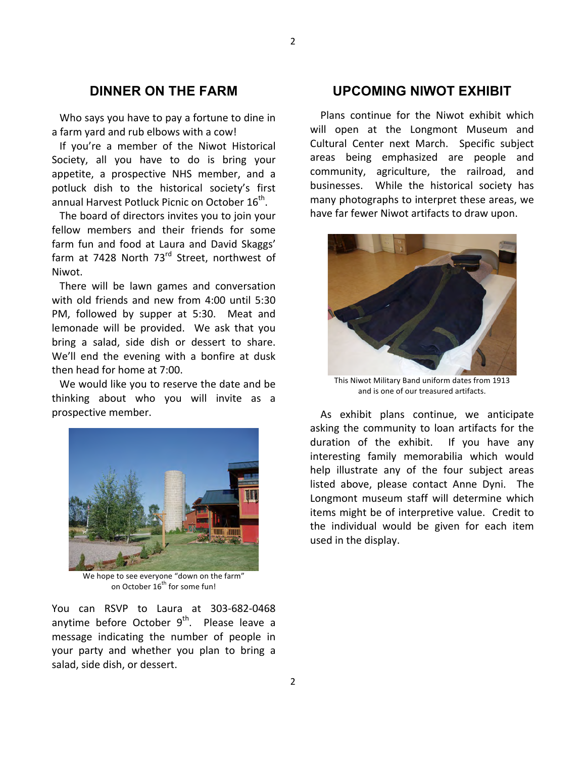## **DINNER ON THE FARM**

Who says you have to pay a fortune to dine in a farm yard and rub elbows with a cow!

If you're a member of the Niwot Historical Society, all you have to do is bring your appetite, a prospective NHS member, and a potluck dish to the historical society's first annual Harvest Potluck Picnic on October 16<sup>th</sup>.

The board of directors invites you to join your fellow members and their friends for some farm fun and food at Laura and David Skaggs' farm at 7428 North 73<sup>rd</sup> Street, northwest of Niwot.

There will be lawn games and conversation with old friends and new from 4:00 until 5:30 PM, followed by supper at 5:30. Meat and lemonade will be provided. We ask that you bring a salad, side dish or dessert to share. We'll end the evening with a bonfire at dusk then head for home at 7:00.

We would like you to reserve the date and be thinking about who you will invite as a prospective member.



We hope to see everyone "down on the farm" on October  $16^{th}$  for some fun!

You can RSVP to Laura at 303-682-0468 anytime before October  $9<sup>th</sup>$ . Please leave a message indicating the number of people in your party and whether you plan to bring a salad, side dish, or dessert.

#### **UPCOMING NIWOT EXHIBIT**

Plans continue for the Niwot exhibit which will open at the Longmont Museum and Cultural Center next March. Specific subject areas being emphasized are people and community, agriculture, the railroad, and businesses. While the historical society has many photographs to interpret these areas, we have far fewer Niwot artifacts to draw upon.



This Niwot Military Band uniform dates from 1913 and is one of our treasured artifacts.

As exhibit plans continue, we anticipate asking the community to loan artifacts for the duration of the exhibit. If you have any interesting family memorabilia which would help illustrate any of the four subject areas listed above, please contact Anne Dyni. The Longmont museum staff will determine which items might be of interpretive value. Credit to the individual would be given for each item used in the display.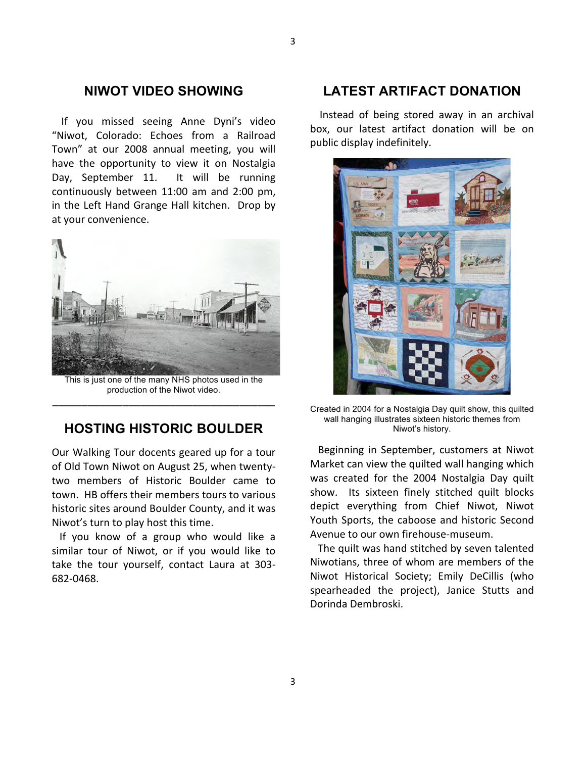#### **NIWOT VIDEO SHOWING**

If you missed seeing Anne Dyni's video "Niwot, Colorado: Echoes from a Railroad Town" at our 2008 annual meeting, you will have the opportunity to view it on Nostalgia Day, September 11. It will be running continuously between 11:00 am and 2:00 pm. in the Left Hand Grange Hall kitchen. Drop by at your convenience.



This is just one of the many NHS photos used in the production of the Niwot video. **\_\_\_\_\_\_\_\_\_\_\_\_\_\_\_\_\_\_\_\_\_\_\_\_\_\_\_\_\_\_\_\_\_\_\_\_\_\_**

## **HOSTING HISTORIC BOULDER**

Our Walking Tour docents geared up for a tour of Old Town Niwot on August 25, when twentytwo members of Historic Boulder came to town. HB offers their members tours to various historic sites around Boulder County, and it was Niwot's turn to play host this time.

If you know of a group who would like a similar tour of Niwot, or if you would like to take the tour yourself, contact Laura at 303-682-0468.

## **LATEST ARTIFACT DONATION**

Instead of being stored away in an archival box, our latest artifact donation will be on public display indefinitely.



Created in 2004 for a Nostalgia Day quilt show, this quilted wall hanging illustrates sixteen historic themes from Niwot's history.

Beginning in September, customers at Niwot Market can view the quilted wall hanging which was created for the 2004 Nostalgia Day quilt show. Its sixteen finely stitched quilt blocks depict everything from Chief Niwot, Niwot Youth Sports, the caboose and historic Second Avenue to our own firehouse-museum.

The quilt was hand stitched by seven talented Niwotians, three of whom are members of the Niwot Historical Society; Emily DeCillis (who spearheaded the project), Janice Stutts and Dorinda Dembroski.